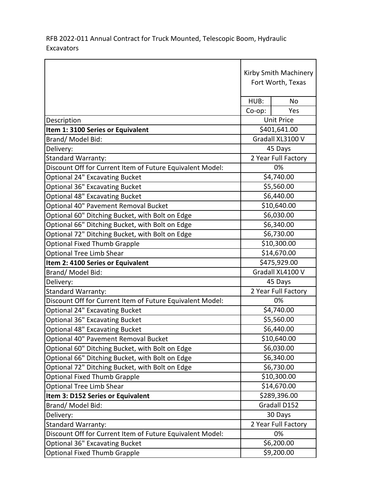RFB 2022-011 Annual Contract for Truck Mounted, Telescopic Boom, Hydraulic Excavators

|                                                           | Kirby Smith Machinery<br>Fort Worth, Texas |              |
|-----------------------------------------------------------|--------------------------------------------|--------------|
|                                                           | HUB:                                       | No           |
|                                                           | $Co$ -op:                                  | Yes          |
| Description                                               | <b>Unit Price</b>                          |              |
| Item 1: 3100 Series or Equivalent                         | \$401,641.00                               |              |
| Brand/Model Bid:                                          | Gradall XL3100 V                           |              |
| Delivery:                                                 | 45 Days                                    |              |
| <b>Standard Warranty:</b>                                 | 2 Year Full Factory                        |              |
| Discount Off for Current Item of Future Equivalent Model: |                                            | 0%           |
| <b>Optional 24" Excavating Bucket</b>                     | \$4,740.00                                 |              |
| <b>Optional 36" Excavating Bucket</b>                     | \$5,560.00                                 |              |
| <b>Optional 48" Excavating Bucket</b>                     | \$6,440.00                                 |              |
| Optional 40" Pavement Removal Bucket                      | \$10,640.00                                |              |
| Optional 60" Ditching Bucket, with Bolt on Edge           | \$6,030.00                                 |              |
| Optional 66" Ditching Bucket, with Bolt on Edge           | \$6,340.00                                 |              |
| Optional 72" Ditching Bucket, with Bolt on Edge           | \$6,730.00                                 |              |
| <b>Optional Fixed Thumb Grapple</b>                       | \$10,300.00                                |              |
| <b>Optional Tree Limb Shear</b>                           | \$14,670.00                                |              |
| Item 2: 4100 Series or Equivalent                         | \$475,929.00                               |              |
| Brand/Model Bid:                                          | Gradall XL4100 V                           |              |
| Delivery:                                                 | 45 Days                                    |              |
| <b>Standard Warranty:</b>                                 | 2 Year Full Factory                        |              |
| Discount Off for Current Item of Future Equivalent Model: |                                            | 0%           |
| <b>Optional 24" Excavating Bucket</b>                     | \$4,740.00                                 |              |
| <b>Optional 36" Excavating Bucket</b>                     | \$5,560.00                                 |              |
| <b>Optional 48" Excavating Bucket</b>                     | \$6,440.00                                 |              |
| Optional 40" Pavement Removal Bucket                      | \$10,640.00                                |              |
| Optional 60" Ditching Bucket, with Bolt on Edge           | \$6,030.00                                 |              |
| Optional 66" Ditching Bucket, with Bolt on Edge           | \$6,340.00                                 |              |
| Optional 72" Ditching Bucket, with Bolt on Edge           | \$6,730.00                                 |              |
| <b>Optional Fixed Thumb Grapple</b>                       | \$10,300.00                                |              |
| <b>Optional Tree Limb Shear</b>                           | \$14,670.00                                |              |
| Item 3: D152 Series or Equivalent                         | \$289,396.00                               |              |
| Brand/Model Bid:                                          |                                            | Gradall D152 |
| Delivery:                                                 | 30 Days                                    |              |
| <b>Standard Warranty:</b>                                 | 2 Year Full Factory                        |              |
| Discount Off for Current Item of Future Equivalent Model: | 0%                                         |              |
| <b>Optional 36" Excavating Bucket</b>                     | \$6,200.00                                 |              |
| <b>Optional Fixed Thumb Grapple</b>                       | \$9,200.00                                 |              |